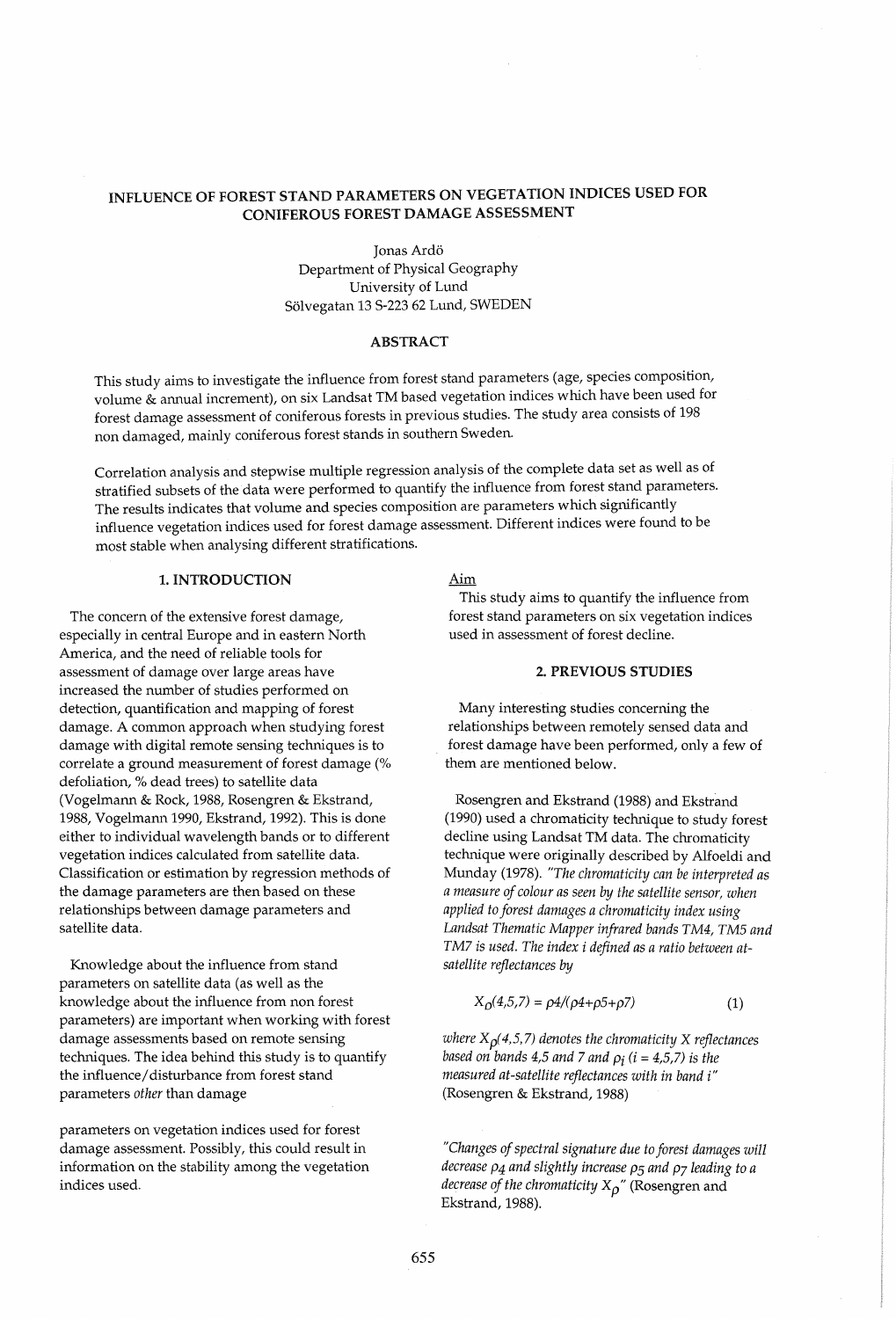# INFLUENCE OF FOREST STAND PARAMETERS ON VEGETATION INDICES USED FOR CONIFEROUS FOREST DAMAGE ASSESSMENT

Jonas Ard6 Department of Physical Geography University of Lund S61vegatan 13 S-223 62 Lund, SWEDEN

#### ABSTRACT

This study aims to investigate the influence from forest stand parameters (age, species composition, volume & annual increment), on six Landsat TM based vegetation indices which have been used for forest damage assessment of coniferous forests in previous studies. The study area consists of 198 non damaged, mainly coniferous forest stands in southern Sweden.

Correlation analysis and stepwise multiple regression analysis of the complete data set as well as of stratified subsets of the data were performed to quantify the influence from forest stand parameters. The results indicates that volume and species composition are parameters which significantly influence vegetation indices used for forest damage assessment. Different indices were found to be most stable when analysing different stratifications.

### 1. INTRODUCTION

The concern of the extensive forest damage, especially in central Europe and in eastern North America, and the need of reliable tools for assessment of damage over large areas have increased the number of studies performed on detection, quantification and mapping of forest damage. A common approach when studying forest damage with digital remote sensing techniques is to correlate a ground measurement of forest damage (% defoliation, % dead trees) to satellite data (Vogelmann & Rock, 1988, Rosengren & Ekstrand, 1988, Vogelmann 1990, Ekstrand, 1992). This is done either to individual wavelength bands or to different vegetation indices calculated from satellite data. Classification or estimation by regression methods of the damage parameters are then based on these relationships between damage parameters and satellite data.

Knowledge about the influence from stand parameters on satellite data (as well as the knowledge about the influence from non forest parameters) are important when working with forest damage assessments based on remote sensing techniques. The idea behind this study is to quantify the influence/ disturbance from forest stand parameters *other* than damage

parameters on vegetation indices used for forest damage assessment. Possibly, this could result in information on the stability among the vegetation indices used.

#### Aim

This study aims to quantify the influence from forest stand parameters on six vegetation indices used in assessment of forest decline.

# 2. PREVIOUS STUDIES

Many interesting studies concerning the relationships between remotely sensed data and forest damage have been performed, only a few of them are mentioned below.

Rosengren and Ekstrand (1988) and Ekstrand (1990) used a chromaticity technique to study forest decline using Landsat TM data. The chromaticity technique were originally described by Alfoeldi and Munday (1978). *"The chromaticity can be interpreted as a measure of colour as seen by the satellite sensor, when applied to forest damages a chromaticity index using Landsat Thematic Mapper infrared bands TM4, TM5 and TM7 is used. The index i defined as a ratio between atsatellite reflectances by* 

$$
X_0(4,5,7) = \rho 4/(\rho 4 + \rho 5 + \rho 7) \tag{1}
$$

*where*  $X_{\rho}(4,5,7)$  *denotes the chromaticity* X *reflectances based on bands 4,5 and 7 and*  $\rho_i$  *(i = 4,5,7) is the measured at-satellite reflectances with in band* i" (Rosengren & Ekstrand, 1988)

*"Changes of spectral signature due to forest damages will decrease P4 and slightly increase P5 and P7 leading to a decrease of the chromaticity*  $X_{\rho}$ " (Rosengren and Ekstrand, 1988).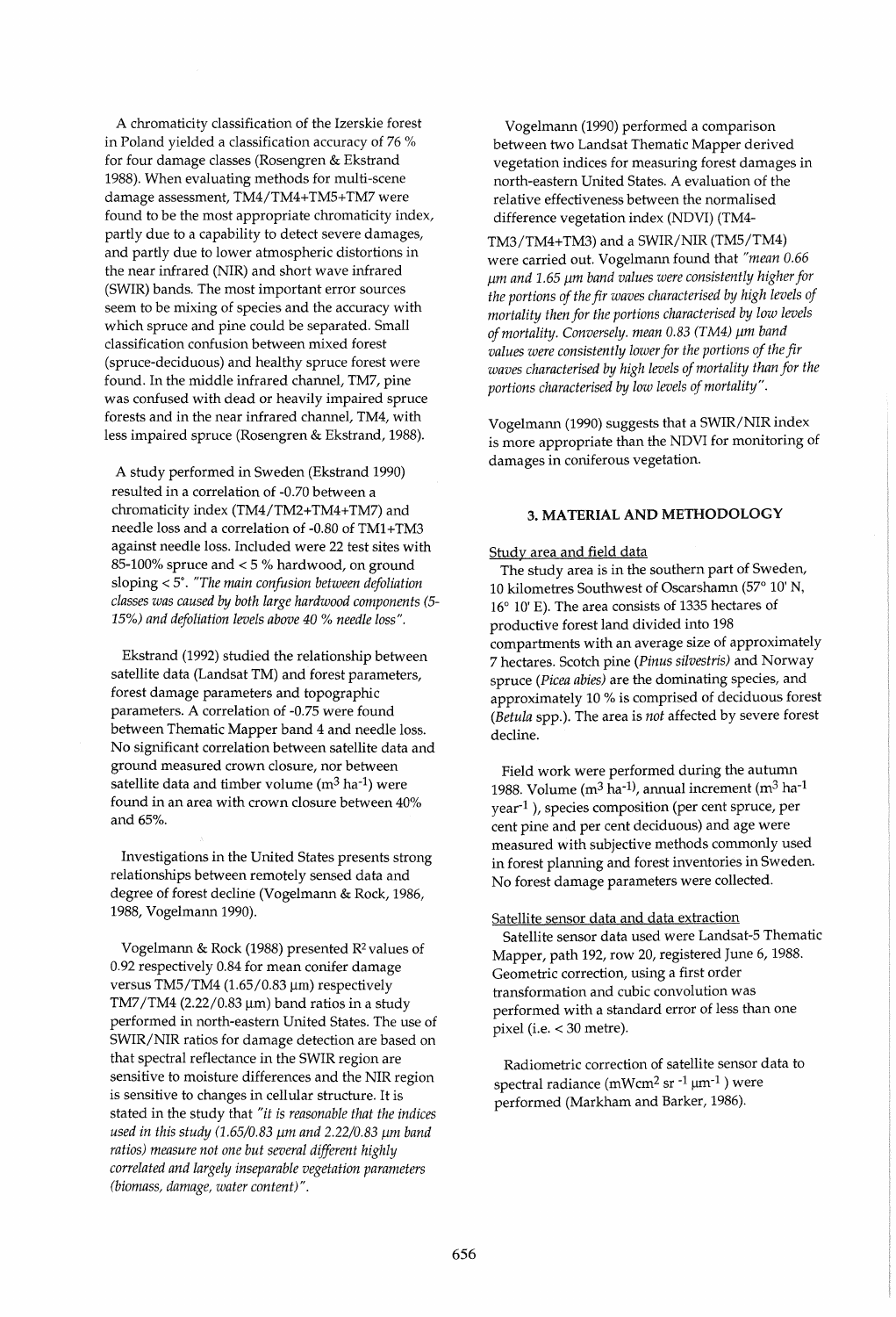A chromaticity classification of the Izerskie forest in Poland yielded a classification accuracy of 76 % for four damage classes (Rosengren & Ekstrand 1988). When evaluating methods for multi-scene damage assessment, TM4/TM4+TM5+TM7 were found to be the most appropriate chromaticity index, partly due to a capability to detect severe damages, and partly due to lower atmospheric distortions in the near infrared (NIR) and short wave infrared (SWIR) bands. The most important error sources seem to be mixing of species and the accuracy with which spruce and pine could be separated. Small classification confusion between mixed forest (spruce-deciduous) and healthy spruce forest were found. In the middle infrared channel, TM7, pine was confused with dead or heavily impaired spruce forests and in the near infrared channel, TM4, with less impaired spruce (Rosengren & Ekstrand, 1988).

A study performed in Sweden (Ekstrand 1990) resulted in a correlation of -0.70 between a chromaticity index (TM4/TM2+TM4+TM7) and needle loss and a correlation of -0.80 of TM1+TM3 against needle loss. Included were 22 test sites with 85-100% spruce and < 5 % hardwood, on ground sloping < 5°. *"The main confusion between defoliation classes was caused by both large hardwood components (5- 15%) and defoliation levels above 40* % *needle loss".* 

Ekstrand (1992) studied the relationship between satellite data (Landsat TM) and forest parameters, forest damage parameters and topographic parameters. A correlation of -0.75 were found between Thematic Mapper band 4 and needle loss. No significant correlation between satellite data and ground measured crown closure, nor between satellite data and timber volume  $(m^3 \text{ ha}^{-1})$  were found in an area with crown closure between 40% and 65%.

Investigations in the United States presents strong relationships between remotely sensed data and degree of forest decline (Vogelmann & Rock, 1986, 1988, Vogelmann 1990).

Vogelmann & Rock (1988) presented R<sup>2</sup> values of 0.92 respectively 0.84 for mean conifer damage versus TM5/TM4 (1.65/0.83  $\mu$ m) respectively TM7/TM4 (2.22/0.83  $\mu$ m) band ratios in a study performed in north-eastern United States. The use of SWIR/NIR ratios for damage detection are based on that spectral reflectance in the SWIR region are sensitive to moisture differences and the NIR region is sensitive to changes in cellular structure. It is stated in the study that *"it is reasonable that the indices used in this study (1.65/0.83* pm *and 2.22/0.83* pm *band ratios) measure not one but several different highly correlated and largely inseparable vegetation parameters (biomass, damage, water content)".* 

Vogelmann (1990) performed a comparison between two Landsat Thematic Mapper derived vegetation indices for measuring forest damages in north-eastern United States. A evaluation of the relative effectiveness between the normalised difference vegetation index (NDVI) (TM4-

TM3/TM4+TM3) and a SWIR/NIR (TM5/TM4) were carried out. Vogelmann found that *"mean 0.66*  pm *and* 1.65 *11m band values were consistently higher for the portions of the fir waves characterised by high levels of mortality then for the portions characterised by low levels of mortality. Conversely. mean 0.83 (TM4) 11m band values were consistently lower for the portions of the fir waves characterised by high levels of mortality than for the portions characterised by low levels of mortality".* 

Vogelmann (1990) suggests that a SWIR/NIR index is more appropriate than the NDVI for monitoring of damages in coniferous vegetation.

# 3. MATERIAL AND METHODOLOGY

### Study area and field data

The study area is in the southern part of Sweden, 10 kilometres Southwest of Oscarshamn (57° 10' N,  $16^{\circ}$  10' E). The area consists of 1335 hectares of productive forest land divided into 198 compartments with an average size of approximately 7 hectares. Scotch pine *(Pinus silvestris)* and Norway spruce *(Picea abies)* are the dominating species, and approximately 10 % is comprised of deciduous forest *(Betula* spp.). The area is *not* affected by severe forest decline.

Field work were performed during the autumn 1988. Volume ( $m^3$  ha<sup>-1)</sup>, annual increment ( $m^3$  ha<sup>-1</sup> year1 ), species composition (per cent spruce, per cent pine and per cent deciduous) and age were measured with subjective methods commonly used in forest planning and forest inventories in Sweden. No forest damage parameters were collected.

## Satellite sensor data and data extraction

Satellite sensor data used were Landsat-5 Thematic Mapper, path 192, row 20, registered June 6, 1988. Geometric correction, using a first order transformation and cubic convolution was performed with a standard error of less than one pixel (i.e.  $<$  30 metre).

Radiometric correction of satellite sensor data to spectral radiance (mWcm<sup>2</sup> sr <sup>-1</sup>  $\mu$ m<sup>-1</sup>) were performed (Markham and Barker, 1986).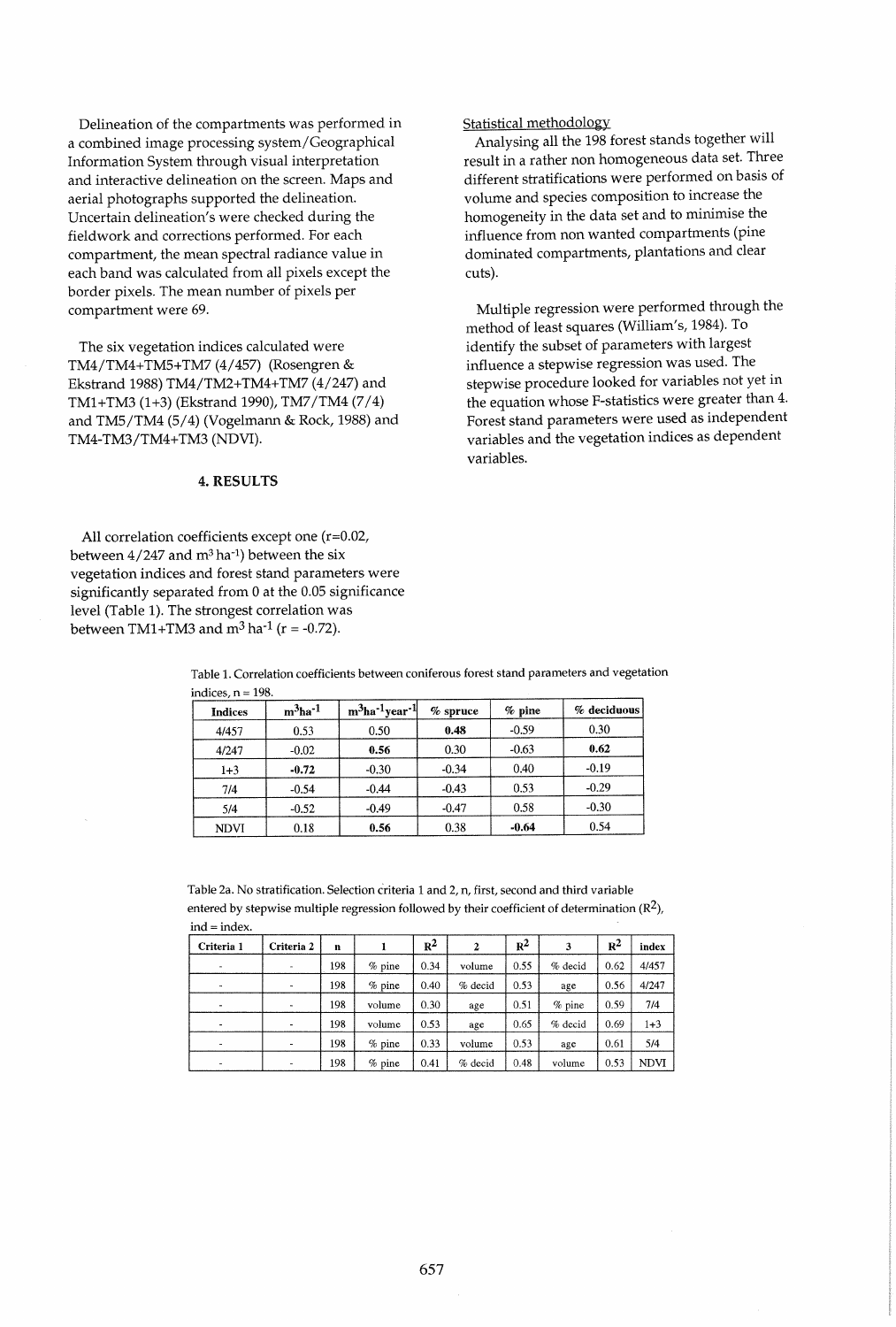Delineation of the compartments was performed in a combined image processing system/Geographical Information System through visual interpretation and interactive delineation on the screen. Maps and aerial photographs supported the delineation. Uncertain delineation's were checked during the fieldwork and corrections performed. For each compartment, the mean spectral radiance value in each band was calculated from all pixels except the border pixels. The mean number of pixels per compartment were 69.

The six vegetation indices calculated were TM4/TM4+TM5+TM7 (4/457) (Rosengren & Ekstrand 1988) TM4/TM2+TM4+TM7 (4/247) and TM1 + TM3 (1 +3) (Ekstrand 1990), TM7/TM4 (7/4) and TM5/TM4 (5/4) (Vogelmann & Rock, 1988) and TM4-TM3/TM4+TM3 (NDVI).

#### 4. RESULTS

All correlation coefficients except one (r=0.02, between  $4/247$  and m<sup>3</sup> ha<sup>-1</sup>) between the six vegetation indices and forest stand parameters were significantly separated from 0 at the 0.05 significance level (Table 1). The strongest correlation was between TM1+TM3 and  $m^3$  ha<sup>-1</sup> ( $r = -0.72$ ).

Statistical methodology

Analysing all the 198 forest stands together will result in a rather non homogeneous data set. Three different stratifications were performed on basis of volume and species composition to increase the homogeneity in the data set and to minimise the influence from non wanted compartments (pine dominated compartments, plantations and clear cuts).

Multiple regression were performed through the method of least squares (William's, 1984). To identify the subset of parameters with largest influence a stepwise regression was used. The stepwise procedure looked for variables not yet in the equation whose F-statistics were greater than 4. Forest stand parameters were used as independent variables and the vegetation indices as dependent variables.

| Table 1. Correlation coefficients between coniferous forest stand parameters and vegetation |  |
|---------------------------------------------------------------------------------------------|--|
| indices, n = 198.                                                                           |  |
|                                                                                             |  |

| <b>Indices</b> | $m3$ ha <sup>-1</sup> | $m3$ ha <sup>-1</sup> year <sup>-1</sup> | $%$ spruce | $%$ pine | % deciduous |
|----------------|-----------------------|------------------------------------------|------------|----------|-------------|
| 4/457          | 0.53                  | 0.50                                     | 0.48       | $-0.59$  | 0.30        |
| 4/247          | $-0.02$               | 0.56                                     | 0.30       | $-0.63$  | 0.62        |
| $1 + 3$        | $-0.72$               | $-0.30$                                  | $-0.34$    | 0.40     | $-0.19$     |
| 7/4            | $-0.54$               | $-0.44$                                  | $-0.43$    | 0.53     | $-0.29$     |
| 5/4            | $-0.52$               | $-0.49$                                  | $-0.47$    | 0.58     | $-0.30$     |
| <b>NDVI</b>    | 0.18                  | 0.56                                     | 0.38       | $-0.64$  | 0.54        |

Table 2a. No stratification. Selection criteria 1 and 2, n, first, second and third variable entered by stepwise multiple regression followed by their coefficient of determination  $(R^2)$ , ind = index

| Criteria 1               | Criteria 2 | n   |          | $R^2$ | $\mathbf{2}$ | $R^2$ | 3        | $R^2$ | index       |
|--------------------------|------------|-----|----------|-------|--------------|-------|----------|-------|-------------|
| $\overline{\phantom{a}}$ | $\sim$     | 198 | $%$ pine | 0.34  | volume       | 0.55  | % decid  | 0.62  | 4/457       |
| ٠                        | ۰          | 198 | % pine   | 0.40  | % decid      | 0.53  | age      | 0.56  | 4/247       |
|                          | ٠          | 198 | volume   | 0.30  | age          | 0.51  | $%$ pine | 0.59  | 7/4         |
| ۰                        |            | 198 | volume   | 0.53  | age          | 0.65  | % decid  | 0.69  | $1+3$       |
| $\mathbf{r}$             | ۰          | 198 | $%$ pine | 0.33  | volume       | 0.53  | age      | 0.61  | 5/4         |
| ٠                        | ۰          | 198 | $%$ pine | 0.41  | % decid      | 0.48  | volume   | 0.53  | <b>NDVI</b> |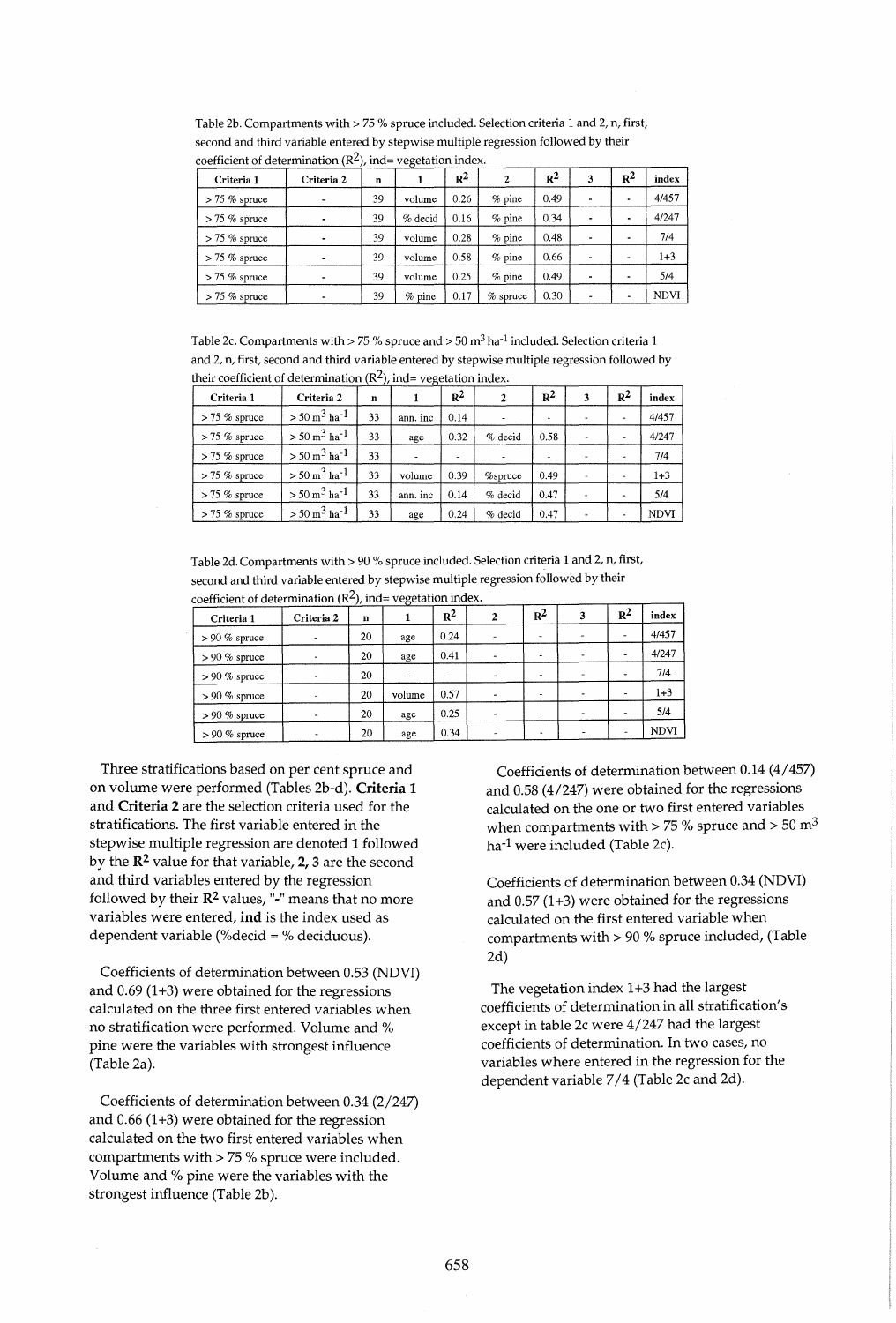Table 2b. Compartments with > 75 % spruce included. Selection criteria 1 and 2, n, first, second and third variable entered by stepwise multiple regression followed by their coefficient of determination  $(R^2)$ , ind = vegetation index.

| Criteria 1       | Criteria 2 | n  | $\cdot$  | $R^2$ | 2          | $R^2$ | 3              | $R^2$ | index |
|------------------|------------|----|----------|-------|------------|-------|----------------|-------|-------|
| $> 75$ % spruce  |            | 39 | volume   | 0.26  | % pine     | 0.49  | $\blacksquare$ | ۰     | 4/457 |
| $> 75 \%$ spruce |            | 39 | % decid  | 0.16  | $%$ pine   | 0.34  |                | ۰     | 4/247 |
| $> 75$ % spruce  |            | 39 | volume   | 0.28  | % pine     | 0.48  |                |       | 7/4   |
| $> 75$ % spruce  |            | 39 | volume   | 0.58  | $%$ pine   | 0.66  |                | ۰     | 1+3   |
| $> 75$ % spruce  | ٠          | 39 | volume   | 0.25  | % pine     | 0.49  | $\blacksquare$ | ۰     | 5/4   |
| $> 75\%$ spruce  |            | 39 | $%$ pine | 0.17  | $%$ spruce | 0.30  |                | ۰     | NDVI  |

Table 2c. Compartments with > 75 % spruce and > 50 m<sup>3</sup> ha<sup>-1</sup> included. Selection criteria 1 and 2, n, first, second and third variable entered by stepwise multiple regression followed by their coefficient of determination  $(R^2)$ , ind= vegetation index.

| Criteria 1      | Criteria 2                         | n  |          | $R^2$ |         | $R^2$ | 3 | $R^2$                    | index       |
|-----------------|------------------------------------|----|----------|-------|---------|-------|---|--------------------------|-------------|
| $> 75$ % spruce | $> 50 \text{ m}^3 \text{ ha}^{-1}$ | 33 | ann. inc | 0.14  |         |       |   | $\overline{\phantom{a}}$ | 4/457       |
| $> 75$ % spruce | $> 50 \text{ m}^3 \text{ ha}^{-1}$ | 33 | age      | 0.32  | % decid | 0.58  |   | $\overline{\phantom{a}}$ | 4/247       |
| $> 75$ % spruce | $> 50 \text{ m}^3 \text{ ha}^{-1}$ | 33 |          |       |         |       |   | $\overline{\phantom{a}}$ | 7/4         |
| $> 75\%$ spruce | $> 50 \text{ m}^3 \text{ ha}^{-1}$ | 33 | volume   | 0.39  | %spruce | 0.49  |   | ۰                        | $1 + 3$     |
| $> 75$ % spruce | $> 50 \text{ m}^3 \text{ ha}^{-1}$ | 33 | ann. inc | 0.14  | % decid | 0.47  |   | ٠                        | 5/4         |
| $> 75$ % spruce | $> 50 \text{ m}^3 \text{ ha}^{-1}$ | 33 | age      | 0.24  | % decid | 0.47  |   | ۰                        | <b>NDVI</b> |

Table 2d. Compartments with > 90 % spruce included. Selection criteria 1 and 2, n, first, second and third variable entered by stepwise multiple regression followed by their coefficient of determination  $(R^2)$ , ind= vegetation index.

| Criteria 1       | Criteria 2               | n  | . - 0 -                  | $R^2$                    | 2 | $R^2$                    | 3                        | $R^2$ | index       |
|------------------|--------------------------|----|--------------------------|--------------------------|---|--------------------------|--------------------------|-------|-------------|
| $> 90 \%$ spruce | $\overline{\phantom{a}}$ | 20 | age                      | 0.24                     | ۰ | ۰                        |                          |       | 4/457       |
| $> 90\%$ spruce  | ٠                        | 20 | age                      | 0.41                     |   |                          | $\overline{\phantom{a}}$ |       | 4/247       |
| $> 90\%$ spruce  | ٠                        | 20 | $\overline{\phantom{a}}$ | $\overline{\phantom{a}}$ |   | ۰                        |                          |       | 7/4         |
| $> 90\%$ spruce  | $\overline{\phantom{a}}$ | 20 | volume                   | 0.57                     |   | $\overline{\phantom{a}}$ |                          |       | $1 + 3$     |
| $> 90 \%$ spruce |                          | 20 | age                      | 0.25                     | ۰ | ۰                        |                          |       | 5/4         |
| $> 90\%$ spruce  |                          | 20 | age                      | 0.34                     | - | ٠                        |                          |       | <b>NDVI</b> |

Three stratifications based on per cent spruce and on volume were performed (Tables 2b-d). Criteria 1 and Criteria 2 are the selection criteria used for the stratifications. The first variable entered in the stepwise multiple regression are denoted 1 followed by the R2 value for that variable, 2, 3 are the second and third variables entered by the regression followed by their  $\mathbb{R}^2$  values, "-" means that no more variables were entered, ind is the index used as dependent variable (%decid = % deciduous).

Coefficients of determination between 0.53 (NDVI) and  $0.69$  (1+3) were obtained for the regressions calculated on the three first entered variables when no stratification were performed. Volume and % pine were the variables with strongest influence (Table 2a).

Coefficients of determination between 0.34 (2/247) and  $0.66$  (1+3) were obtained for the regression calculated on the two first entered variables when compartments with> 75 % spruce were included. Volume and % pine were the variables with the strongest influence (Table 2b).

Coefficients of determination between 0.14 (4/457) and 0.58 (4/247) were obtained for the regressions calculated on the one or two first entered variables when compartments with > 75 % spruce and > 50 m<sup>3</sup> ha-1 were included (Table 2c).

Coefficients of determination between 0.34 (NDVI) and  $0.57$  (1+3) were obtained for the regressions calculated on the first entered variable when compartments with> 90 % spruce included, (Table 2d)

The vegetation index 1+3 had the largest coefficients of determination in all stratification's except in table 2c were 4/247 had the largest coefficients of determination. In two cases, no variables where entered in the regression for the dependent variable 7/4 (Table 2c and 2d).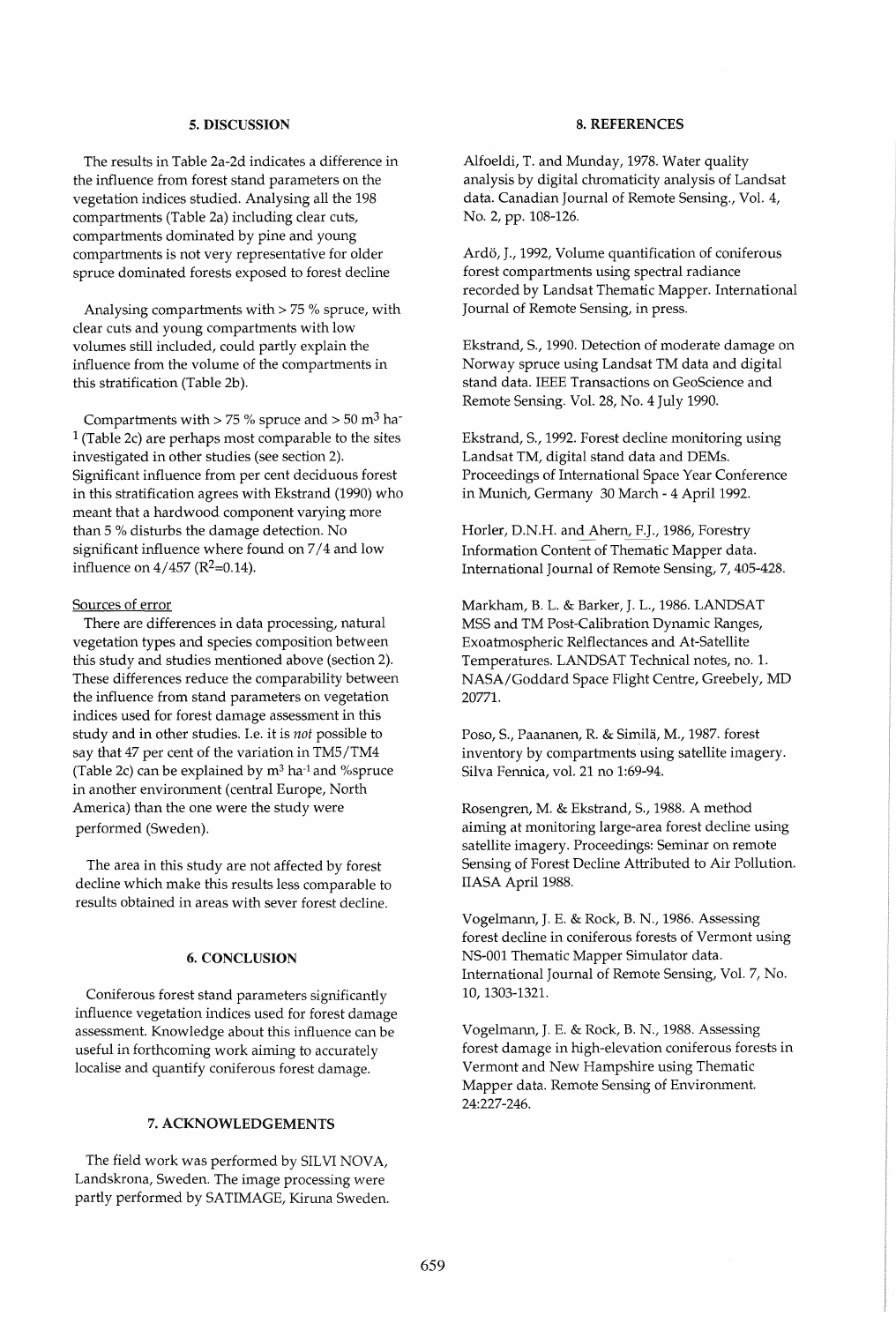#### 5. DISCUSSION

The results in Table 2a-2d indicates a difference in the influence from forest stand parameters on the vegetation indices studied. Analysing all the 198 compartments (Table 2a) including clear cuts, compartments dominated by pine and young compartments is not very representative for older spruce dominated forests exposed to forest decline

Analysing compartments with  $> 75$  % spruce, with clear cuts and young compartments with low volumes still included, could partly explain the influence from the volume of the compartments in this stratification (Table 2b).

Compartments with  $> 75$  % spruce and  $> 50$  m<sup>3</sup> ha- $1$  (Table 2c) are perhaps most comparable to the sites investigated in other studies (see section 2). Significant influence from per cent deciduous forest in this stratification agrees with Ekstrand (1990) who meant that a hardwood component varying more than 5 % disturbs the damage detection. No significant influence where found on 7/4 and low influence on  $4/457$  ( $R^2=0.14$ ).

### Sources of error

There are differences in data processing, natural vegetation types and species composition between this study and studies mentioned above (section 2). These differences reduce the comparability between the influence from stand parameters on vegetation indices used for forest damage assessment in this study and in other studies. I.e. it is *not* possible to say that 47 per cent of the variation in TM5/TM4 (Table 2c) can be explained by  $m<sup>3</sup>$  ha<sup>-1</sup> and %spruce in another environment (central Europe, North America) than the one were the study were performed (Sweden).

The area in this study are not affected by forest decline which make this results less comparable to results obtained in areas with sever forest decline.

## 6. CONCLUSION

Coniferous forest stand parameters significantly influence vegetation indices used for forest damage assessment. Knowledge about this influence can be useful in forthcoming work aiming to accurately localise and quantify coniferous forest damage.

#### 7. ACKNOWLEDGEMENTS

The field work was performed by SILVI NOVA, Landskrona, Sweden. The image processing were partly performed by SATIMAGE, Kiruna Sweden.

#### 8. REFERENCES

Alfoeldi, T. and Munday, 1978. Water quality analysis by digital chromaticity analysis of Landsat data. Canadian Journal of Remote Sensing., Vol. 4, No.2, pp. 108-126.

Ardö, J., 1992, Volume quantification of coniferous forest compartments using spectral radiance recorded by Landsat Thematic Mapper. International Journal of Remote Sensing, in press.

Ekstrand, S., 1990. Detection of moderate damage on Norway spruce using Landsat TM data and digital stand data. IEEE Transactions on GeoScience and Remote Sensing. Vol. 28, No. 4 July 1990.

Ekstrand, S., 1992. Forest decline monitoring using Landsat TM, digital stand data and DEMs. Proceedings of International Space Year Conference in Munich, Germany 30 March - 4 April 1992.

Horler, D.N.H. and Ahern, F.J., 1986, Forestry Information Content of Thematic Mapper data. International Journal of Remote Sensing, 7,405-428.

Markham, B. L. & Barker, J. L., 1986. LANDSAT MSS and TM Post-Calibration Dynamic Ranges, Exoatmospheric Relflectances and At-Satellite Temperatures. LANDSAT Technical notes, no. 1. NASA/Goddard Space Flight Centre, Greebely, MD 20771.

Poso, S., Paananen, R. & Similä, M., 1987. forest inventory by compartments using satellite imagery. Silva Fennica, vol. 21 no 1:69-94.

Rosengren, M. & Ekstrand, S., 1988. A method aiming at monitoring large-area forest decline using satellite imagery. Proceedings: Seminar on remote Sensing of Forest Decline Attributed to Air Pollution. IIASA April 1988.

Vogelmann, J. E. & Rock, B. N., 1986. Assessing forest decline in coniferous forests of Vermont using NS-OOl Thematic Mapper Simulator data. International Journal of Remote Sensing, Vol. 7, No. 10, 1303-1321.

Vogelmann, J. E. & Rock, B. N., 1988. Assessing forest damage in high-elevation coniferous forests in Vermont and New Hampshire using Thematic Mapper data. Remote Sensing of Environment. 24:227-246.